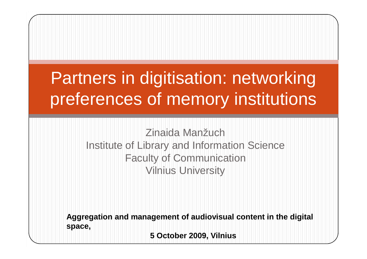## Partners in digitisation: networking preferences of memory institutions

Zinaida Manžuch Institute of Library and Information ScienceFaculty of CommunicationVilnius University

**Aggregation and management of audiovisual content in the digital space,** 

**5 October 2009, Vilnius**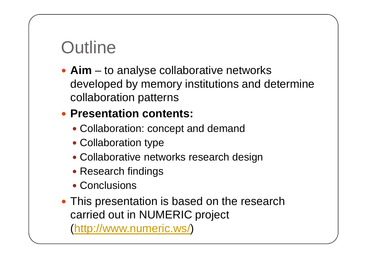## **Outline**

**Aim** – to analyse collaborative networks<br>developed by memory institutions and do developed by memory institutions and determine collaboration patterns

#### **Presentation contents:**

- Collaboration: concept and demand
- Collaboration type
- Collaborative networks research design
- Research findings
- Conclusions
- This presentation is based on the research carried out in NUMERIC project (http://www.numeric.ws/)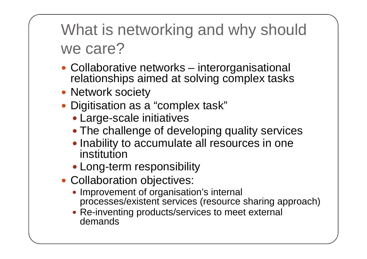What is networking and why should we care?

- Collaborative networks interorganisational relationships aimed at solving complex tasks
- Network society
- Digitisation as a "complex task"
	- Large-scale initiatives
	- The challenge of developing quality services
	- Inability to accumulate all resources in one institution
	- Long-term responsibility
- Collaboration objectives:
	- Improvement of organisation's internal processes/existent services (resource sharing approach)
	- Re-inventing products/services to meet external demands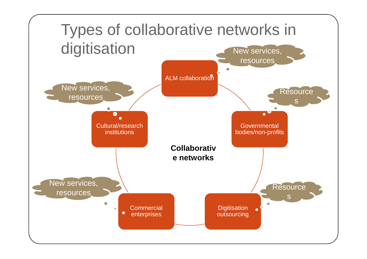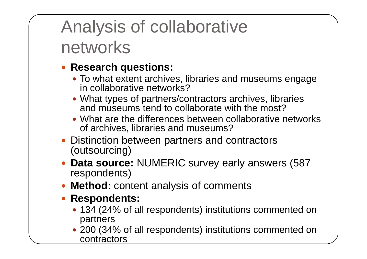# Analysis of collaborative networks

#### **Research questions:**

- To what extent archives, libraries and museums engage in collaborative networks?
- What types of partners/contractors archives, libraries and museums tend to collaborate with the most?
- What are the differences between collaborative networks of archives, libraries and museums?
- Distinction between partners and contractors (outsourcing)
- **Data source:** NUMERIC survey early answers (587 respondents)
- **Method:** content analysis of comments
- **Respondents:** 
	- 134 (24% of all respondents) institutions commented on partners
	- 200 (34% of all respondents) institutions commented on contractors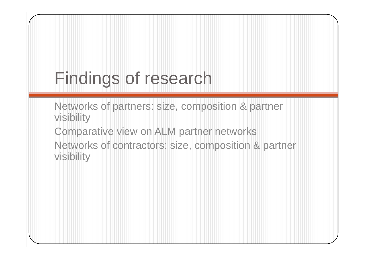# Findings of research

Networks of partners: size, composition & partner visibility

 Comparative view on ALM partner networks Networks of contractors: size, composition & partner visibility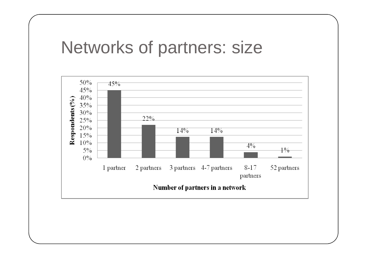#### Networks of partners: size

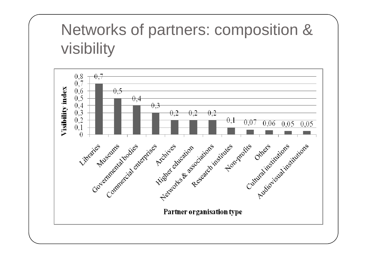### Networks of partners: composition & visibility

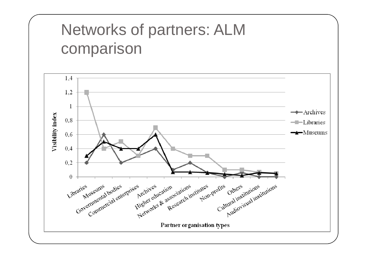### Networks of partners: ALM comparison

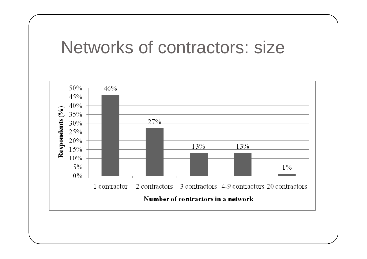#### Networks of contractors: size

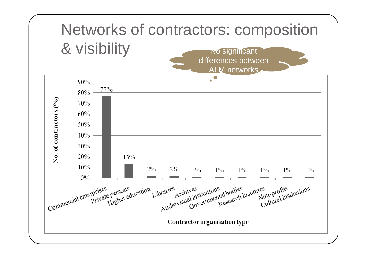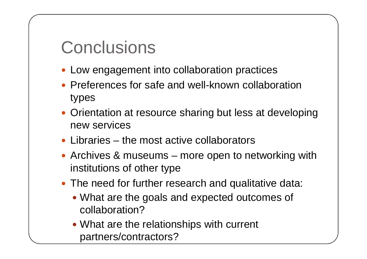### **Conclusions**

- Low engagement into collaboration practices
- Preferences for safe and well-known collaboration types
- Orientation at resource sharing but less at developing new services
- Libraries the most active collaborators
- Archives & museums more open to networking with institutions of other type
- The need for further research and qualitative data:
	- What are the goals and expected outcomes of collaboration?
	- What are the relationships with current partners/contractors?